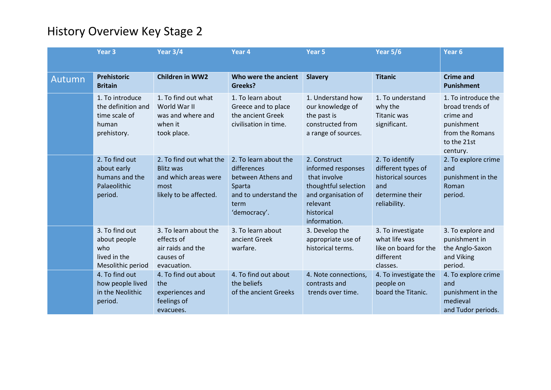|        | Year <sub>3</sub>                                                              | Year 3/4                                                                                              | Year 4                                                                                                                | Year 5                                                                                                                                      | <b>Year 5/6</b>                                                                                      | Year <sub>6</sub>                                                                                               |
|--------|--------------------------------------------------------------------------------|-------------------------------------------------------------------------------------------------------|-----------------------------------------------------------------------------------------------------------------------|---------------------------------------------------------------------------------------------------------------------------------------------|------------------------------------------------------------------------------------------------------|-----------------------------------------------------------------------------------------------------------------|
| Autumn | Prehistoric<br><b>Britain</b>                                                  | <b>Children in WW2</b>                                                                                | Who were the ancient<br><b>Greeks?</b>                                                                                | <b>Slavery</b>                                                                                                                              | <b>Titanic</b>                                                                                       | <b>Crime and</b><br><b>Punishment</b>                                                                           |
|        | 1. To introduce<br>the definition and<br>time scale of<br>human<br>prehistory. | 1. To find out what<br>World War II<br>was and where and<br>when it<br>took place.                    | 1. To learn about<br>Greece and to place<br>the ancient Greek<br>civilisation in time.                                | 1. Understand how<br>our knowledge of<br>the past is<br>constructed from<br>a range of sources.                                             | 1. To understand<br>why the<br>Titanic was<br>significant.                                           | 1. To introduce the<br>broad trends of<br>crime and<br>punishment<br>from the Romans<br>to the 21st<br>century. |
|        | 2. To find out<br>about early<br>humans and the<br>Palaeolithic<br>period.     | 2. To find out what the<br><b>Blitz was</b><br>and which areas were<br>most<br>likely to be affected. | 2. To learn about the<br>differences<br>between Athens and<br>Sparta<br>and to understand the<br>term<br>'democracy'. | 2. Construct<br>informed responses<br>that involve<br>thoughtful selection<br>and organisation of<br>relevant<br>historical<br>information. | 2. To identify<br>different types of<br>historical sources<br>and<br>determine their<br>reliability. | 2. To explore crime<br>and<br>punishment in the<br>Roman<br>period.                                             |
|        | 3. To find out<br>about people<br>who<br>lived in the<br>Mesolithic period     | 3. To learn about the<br>effects of<br>air raids and the<br>causes of<br>evacuation.                  | 3. To learn about<br>ancient Greek<br>warfare.                                                                        | 3. Develop the<br>appropriate use of<br>historical terms.                                                                                   | 3. To investigate<br>what life was<br>like on board for the<br>different<br>classes.                 | 3. To explore and<br>punishment in<br>the Anglo-Saxon<br>and Viking<br>period.                                  |
|        | 4. To find out<br>how people lived<br>in the Neolithic<br>period.              | 4. To find out about<br>the<br>experiences and<br>feelings of<br>evacuees.                            | 4. To find out about<br>the beliefs<br>of the ancient Greeks                                                          | 4. Note connections,<br>contrasts and<br>trends over time.                                                                                  | 4. To investigate the<br>people on<br>board the Titanic.                                             | 4. To explore crime<br>and<br>punishment in the<br>medieval<br>and Tudor periods.                               |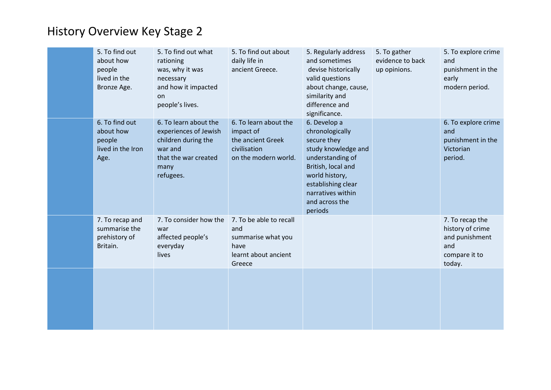| 5. To find out<br>about how<br>people<br>lived in the<br>Bronze Age. | 5. To find out what<br>rationing<br>was, why it was<br>necessary<br>and how it impacted<br>on<br>people's lives.              | 5. To find out about<br>daily life in<br>ancient Greece.                                        | 5. Regularly address<br>and sometimes<br>devise historically<br>valid questions<br>about change, cause,<br>similarity and<br>difference and<br>significance.                                              | 5. To gather<br>evidence to back<br>up opinions. | 5. To explore crime<br>and<br>punishment in the<br>early<br>modern period.              |
|----------------------------------------------------------------------|-------------------------------------------------------------------------------------------------------------------------------|-------------------------------------------------------------------------------------------------|-----------------------------------------------------------------------------------------------------------------------------------------------------------------------------------------------------------|--------------------------------------------------|-----------------------------------------------------------------------------------------|
| 6. To find out<br>about how<br>people<br>lived in the Iron<br>Age.   | 6. To learn about the<br>experiences of Jewish<br>children during the<br>war and<br>that the war created<br>many<br>refugees. | 6. To learn about the<br>impact of<br>the ancient Greek<br>civilisation<br>on the modern world. | 6. Develop a<br>chronologically<br>secure they<br>study knowledge and<br>understanding of<br>British, local and<br>world history,<br>establishing clear<br>narratives within<br>and across the<br>periods |                                                  | 6. To explore crime<br>and<br>punishment in the<br>Victorian<br>period.                 |
| 7. To recap and<br>summarise the<br>prehistory of<br>Britain.        | 7. To consider how the<br>war<br>affected people's<br>everyday<br>lives                                                       | 7. To be able to recall<br>and<br>summarise what you<br>have<br>learnt about ancient<br>Greece  |                                                                                                                                                                                                           |                                                  | 7. To recap the<br>history of crime<br>and punishment<br>and<br>compare it to<br>today. |
|                                                                      |                                                                                                                               |                                                                                                 |                                                                                                                                                                                                           |                                                  |                                                                                         |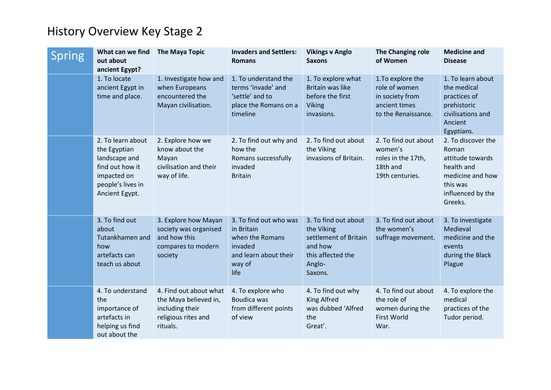| Spring | What can we find<br>out about<br>ancient Egypt?                                                                             | <b>The Maya Topic</b>                                                                                 | <b>Invaders and Settlers:</b><br><b>Romans</b>                                                                | <b>Vikings v Anglo</b><br><b>Saxons</b>                                                                          | The Changing role<br>of Women                                                                 | <b>Medicine and</b><br><b>Disease</b>                                                                                         |
|--------|-----------------------------------------------------------------------------------------------------------------------------|-------------------------------------------------------------------------------------------------------|---------------------------------------------------------------------------------------------------------------|------------------------------------------------------------------------------------------------------------------|-----------------------------------------------------------------------------------------------|-------------------------------------------------------------------------------------------------------------------------------|
|        | 1. To locate<br>ancient Egypt in<br>time and place.                                                                         | 1. Investigate how and<br>when Europeans<br>encountered the<br>Mayan civilisation.                    | 1. To understand the<br>terms 'invade' and<br>'settle' and to<br>place the Romans on a<br>timeline            | 1. To explore what<br>Britain was like<br>before the first<br><b>Viking</b><br>invasions.                        | 1. To explore the<br>role of women<br>in society from<br>ancient times<br>to the Renaissance. | 1. To learn about<br>the medical<br>practices of<br>prehistoric<br>civilisations and<br>Ancient<br>Egyptians.                 |
|        | 2. To learn about<br>the Egyptian<br>landscape and<br>find out how it<br>impacted on<br>people's lives in<br>Ancient Egypt. | 2. Explore how we<br>know about the<br>Mayan<br>civilisation and their<br>way of life.                | 2. To find out why and<br>how the<br>Romans successfully<br>invaded<br><b>Britain</b>                         | 2. To find out about<br>the Viking<br>invasions of Britain.                                                      | 2. To find out about<br>women's<br>roles in the 17th,<br>18th and<br>19th centuries.          | 2. To discover the<br>Roman<br>attitude towards<br>health and<br>medicine and how<br>this was<br>influenced by the<br>Greeks. |
|        | 3. To find out<br>about<br>Tutankhamen and<br>how<br>artefacts can<br>teach us about                                        | 3. Explore how Mayan<br>society was organised<br>and how this<br>compares to modern<br>society        | 3. To find out who was<br>in Britain<br>when the Romans<br>invaded<br>and learn about their<br>way of<br>life | 3. To find out about<br>the Viking<br>settlement of Britain<br>and how<br>this affected the<br>Anglo-<br>Saxons. | 3. To find out about<br>the women's<br>suffrage movement.                                     | 3. To investigate<br>Medieval<br>medicine and the<br>events<br>during the Black<br>Plague                                     |
|        | 4. To understand<br>the<br>importance of<br>artefacts in<br>helping us find<br>out about the                                | 4. Find out about what<br>the Maya believed in,<br>including their<br>religious rites and<br>rituals. | 4. To explore who<br>Boudica was<br>from different points<br>of view                                          | 4. To find out why<br><b>King Alfred</b><br>was dubbed 'Alfred<br>the<br>Great'.                                 | 4. To find out about<br>the role of<br>women during the<br>First World<br>War.                | 4. To explore the<br>medical<br>practices of the<br>Tudor period.                                                             |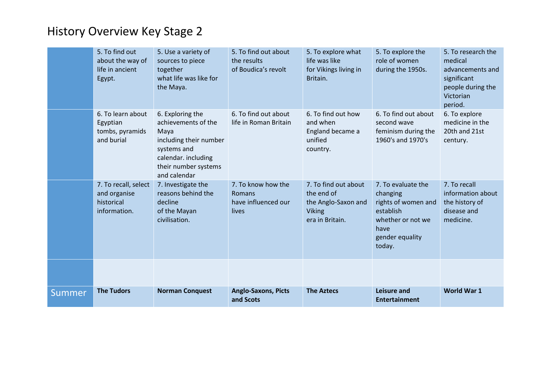|        | 5. To find out<br>about the way of<br>life in ancient<br>Egypt.    | 5. Use a variety of<br>sources to piece<br>together<br>what life was like for<br>the Maya.                                                              | 5. To find out about<br>the results<br>of Boudica's revolt   | 5. To explore what<br>life was like<br>for Vikings living in<br>Britain.                      | 5. To explore the<br>role of women<br>during the 1950s.                                                                      | 5. To research the<br>medical<br>advancements and<br>significant<br>people during the<br>Victorian<br>period. |
|--------|--------------------------------------------------------------------|---------------------------------------------------------------------------------------------------------------------------------------------------------|--------------------------------------------------------------|-----------------------------------------------------------------------------------------------|------------------------------------------------------------------------------------------------------------------------------|---------------------------------------------------------------------------------------------------------------|
|        | 6. To learn about<br>Egyptian<br>tombs, pyramids<br>and burial     | 6. Exploring the<br>achievements of the<br>Maya<br>including their number<br>systems and<br>calendar. including<br>their number systems<br>and calendar | 6. To find out about<br>life in Roman Britain                | 6. To find out how<br>and when<br>England became a<br>unified<br>country.                     | 6. To find out about<br>second wave<br>feminism during the<br>1960's and 1970's                                              | 6. To explore<br>medicine in the<br>20th and 21st<br>century.                                                 |
|        | 7. To recall, select<br>and organise<br>historical<br>information. | 7. Investigate the<br>reasons behind the<br>decline<br>of the Mayan<br>civilisation.                                                                    | 7. To know how the<br>Romans<br>have influenced our<br>lives | 7. To find out about<br>the end of<br>the Anglo-Saxon and<br><b>Viking</b><br>era in Britain. | 7. To evaluate the<br>changing<br>rights of women and<br>establish<br>whether or not we<br>have<br>gender equality<br>today. | 7. To recall<br>information about<br>the history of<br>disease and<br>medicine.                               |
|        |                                                                    |                                                                                                                                                         |                                                              |                                                                                               |                                                                                                                              |                                                                                                               |
| Summer | <b>The Tudors</b>                                                  | <b>Norman Conquest</b>                                                                                                                                  | <b>Anglo-Saxons, Picts</b><br>and Scots                      | <b>The Aztecs</b>                                                                             | <b>Leisure and</b><br><b>Entertainment</b>                                                                                   | World War 1                                                                                                   |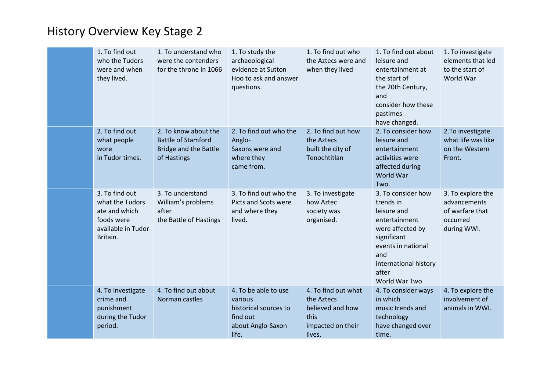| 1. To find out<br>who the Tudors<br>were and when<br>they lived.                                   | 1. To understand who<br>were the contenders<br>for the throne in 1066                            | 1. To study the<br>archaeological<br>evidence at Sutton<br>Hoo to ask and answer<br>questions.     | 1. To find out who<br>the Aztecs were and<br>when they lived                                 | 1. To find out about<br>leisure and<br>entertainment at<br>the start of<br>the 20th Century,<br>and<br>consider how these<br>pastimes<br>have changed.                             | 1. To investigate<br>elements that led<br>to the start of<br>World War          |
|----------------------------------------------------------------------------------------------------|--------------------------------------------------------------------------------------------------|----------------------------------------------------------------------------------------------------|----------------------------------------------------------------------------------------------|------------------------------------------------------------------------------------------------------------------------------------------------------------------------------------|---------------------------------------------------------------------------------|
| 2. To find out<br>what people<br>wore<br>in Tudor times.                                           | 2. To know about the<br><b>Battle of Stamford</b><br><b>Bridge and the Battle</b><br>of Hastings | 2. To find out who the<br>Anglo-<br>Saxons were and<br>where they<br>came from.                    | 2. To find out how<br>the Aztecs<br>built the city of<br>Tenochtitlan                        | 2. To consider how<br>leisure and<br>entertainment<br>activities were<br>affected during<br>World War<br>Two.                                                                      | 2. To investigate<br>what life was like<br>on the Western<br>Front.             |
| 3. To find out<br>what the Tudors<br>ate and which<br>foods were<br>available in Tudor<br>Britain. | 3. To understand<br>William's problems<br>after<br>the Battle of Hastings                        | 3. To find out who the<br>Picts and Scots were<br>and where they<br>lived.                         | 3. To investigate<br>how Aztec<br>society was<br>organised.                                  | 3. To consider how<br>trends in<br>leisure and<br>entertainment<br>were affected by<br>significant<br>events in national<br>and<br>international history<br>after<br>World War Two | 3. To explore the<br>advancements<br>of warfare that<br>occurred<br>during WWI. |
| 4. To investigate<br>crime and<br>punishment<br>during the Tudor<br>period.                        | 4. To find out about<br>Norman castles                                                           | 4. To be able to use<br>various<br>historical sources to<br>find out<br>about Anglo-Saxon<br>life. | 4. To find out what<br>the Aztecs<br>believed and how<br>this<br>impacted on their<br>lives. | 4. To consider ways<br>in which<br>music trends and<br>technology<br>have changed over<br>time.                                                                                    | 4. To explore the<br>involvement of<br>animals in WWI.                          |